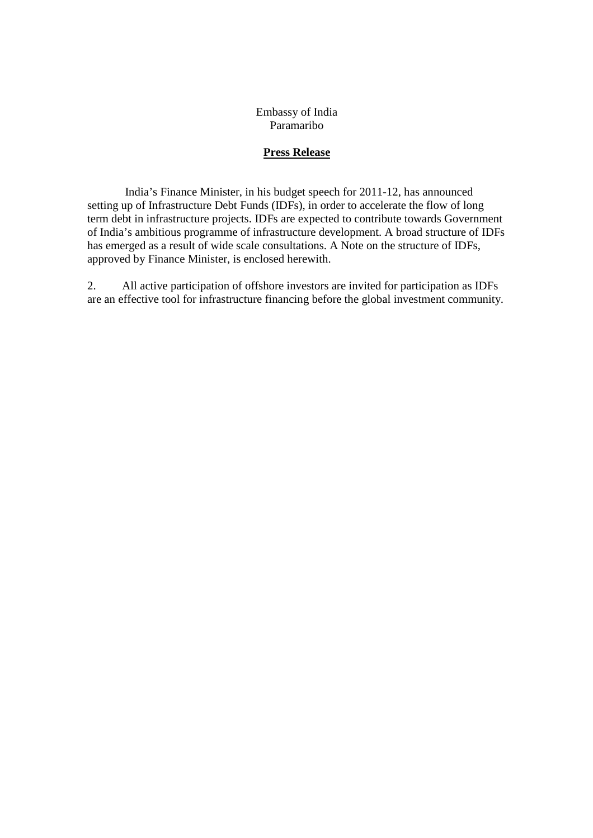Embassy of India Paramaribo

#### **Press Release**

 India's Finance Minister, in his budget speech for 2011-12, has announced setting up of Infrastructure Debt Funds (IDFs), in order to accelerate the flow of long term debt in infrastructure projects. IDFs are expected to contribute towards Government of India's ambitious programme of infrastructure development. A broad structure of IDFs has emerged as a result of wide scale consultations. A Note on the structure of IDFs, approved by Finance Minister, is enclosed herewith.

2. All active participation of offshore investors are invited for participation as IDFs are an effective tool for infrastructure financing before the global investment community.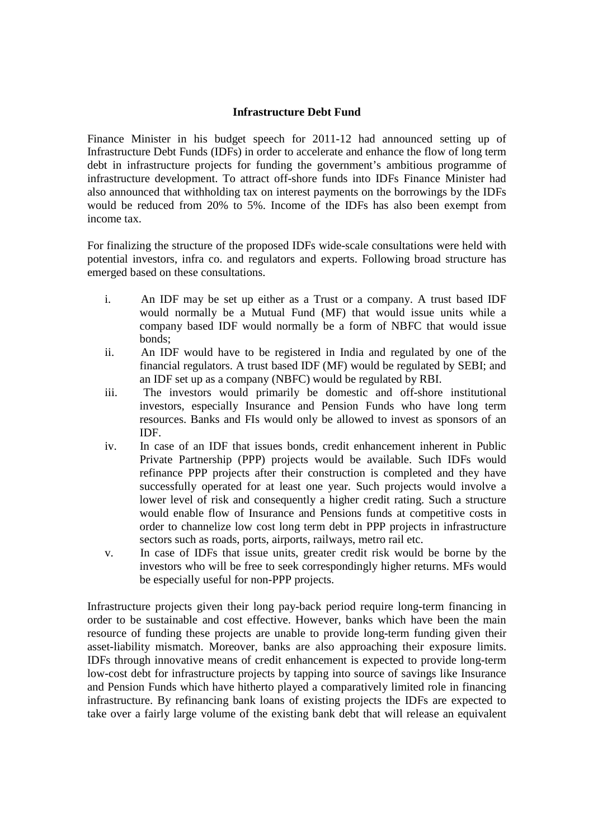#### **Infrastructure Debt Fund**

Finance Minister in his budget speech for 2011-12 had announced setting up of Infrastructure Debt Funds (IDFs) in order to accelerate and enhance the flow of long term debt in infrastructure projects for funding the government's ambitious programme of infrastructure development. To attract off-shore funds into IDFs Finance Minister had also announced that withholding tax on interest payments on the borrowings by the IDFs would be reduced from 20% to 5%. Income of the IDFs has also been exempt from income tax.

For finalizing the structure of the proposed IDFs wide-scale consultations were held with potential investors, infra co. and regulators and experts. Following broad structure has emerged based on these consultations.

- i. An IDF may be set up either as a Trust or a company. A trust based IDF would normally be a Mutual Fund (MF) that would issue units while a company based IDF would normally be a form of NBFC that would issue bonds;
- ii. An IDF would have to be registered in India and regulated by one of the financial regulators. A trust based IDF (MF) would be regulated by SEBI; and an IDF set up as a company (NBFC) would be regulated by RBI.
- iii. The investors would primarily be domestic and off-shore institutional investors, especially Insurance and Pension Funds who have long term resources. Banks and FIs would only be allowed to invest as sponsors of an IDF.
- iv. In case of an IDF that issues bonds, credit enhancement inherent in Public Private Partnership (PPP) projects would be available. Such IDFs would refinance PPP projects after their construction is completed and they have successfully operated for at least one year. Such projects would involve a lower level of risk and consequently a higher credit rating. Such a structure would enable flow of Insurance and Pensions funds at competitive costs in order to channelize low cost long term debt in PPP projects in infrastructure sectors such as roads, ports, airports, railways, metro rail etc.
- v. In case of IDFs that issue units, greater credit risk would be borne by the investors who will be free to seek correspondingly higher returns. MFs would be especially useful for non-PPP projects.

Infrastructure projects given their long pay-back period require long-term financing in order to be sustainable and cost effective. However, banks which have been the main resource of funding these projects are unable to provide long-term funding given their asset-liability mismatch. Moreover, banks are also approaching their exposure limits. IDFs through innovative means of credit enhancement is expected to provide long-term low-cost debt for infrastructure projects by tapping into source of savings like Insurance and Pension Funds which have hitherto played a comparatively limited role in financing infrastructure. By refinancing bank loans of existing projects the IDFs are expected to take over a fairly large volume of the existing bank debt that will release an equivalent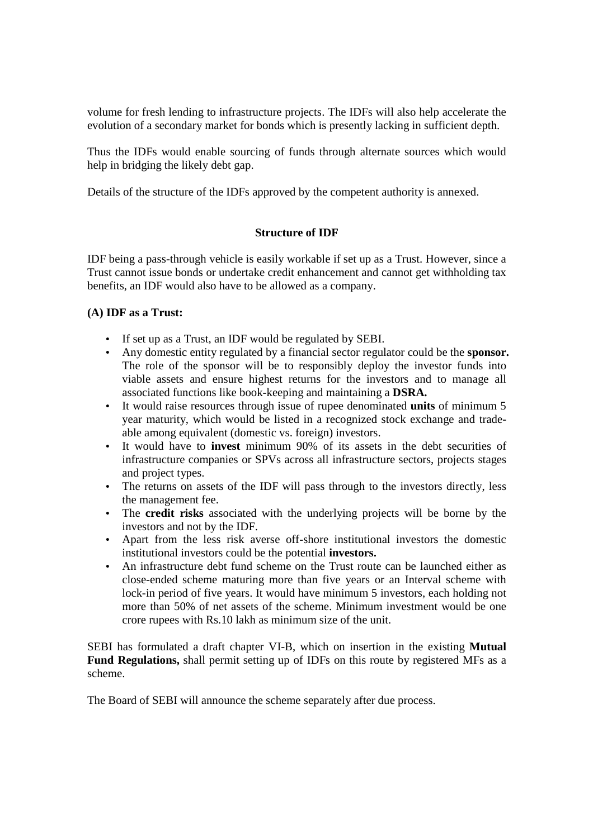volume for fresh lending to infrastructure projects. The IDFs will also help accelerate the evolution of a secondary market for bonds which is presently lacking in sufficient depth.

Thus the IDFs would enable sourcing of funds through alternate sources which would help in bridging the likely debt gap.

Details of the structure of the IDFs approved by the competent authority is annexed.

# **Structure of IDF**

IDF being a pass-through vehicle is easily workable if set up as a Trust. However, since a Trust cannot issue bonds or undertake credit enhancement and cannot get withholding tax benefits, an IDF would also have to be allowed as a company.

## **(A) IDF as a Trust:**

- If set up as a Trust, an IDF would be regulated by SEBI.
- Any domestic entity regulated by a financial sector regulator could be the **sponsor.** The role of the sponsor will be to responsibly deploy the investor funds into viable assets and ensure highest returns for the investors and to manage all associated functions like book-keeping and maintaining a **DSRA.**
- It would raise resources through issue of rupee denominated **units** of minimum 5 year maturity, which would be listed in a recognized stock exchange and tradeable among equivalent (domestic vs. foreign) investors.
- It would have to **invest** minimum 90% of its assets in the debt securities of infrastructure companies or SPVs across all infrastructure sectors, projects stages and project types.
- The returns on assets of the IDF will pass through to the investors directly, less the management fee.
- The **credit risks** associated with the underlying projects will be borne by the investors and not by the IDF.
- Apart from the less risk averse off-shore institutional investors the domestic institutional investors could be the potential **investors.**
- An infrastructure debt fund scheme on the Trust route can be launched either as close-ended scheme maturing more than five years or an Interval scheme with lock-in period of five years. It would have minimum 5 investors, each holding not more than 50% of net assets of the scheme. Minimum investment would be one crore rupees with Rs.10 lakh as minimum size of the unit.

SEBI has formulated a draft chapter VI-B, which on insertion in the existing **Mutual Fund Regulations,** shall permit setting up of IDFs on this route by registered MFs as a scheme.

The Board of SEBI will announce the scheme separately after due process.